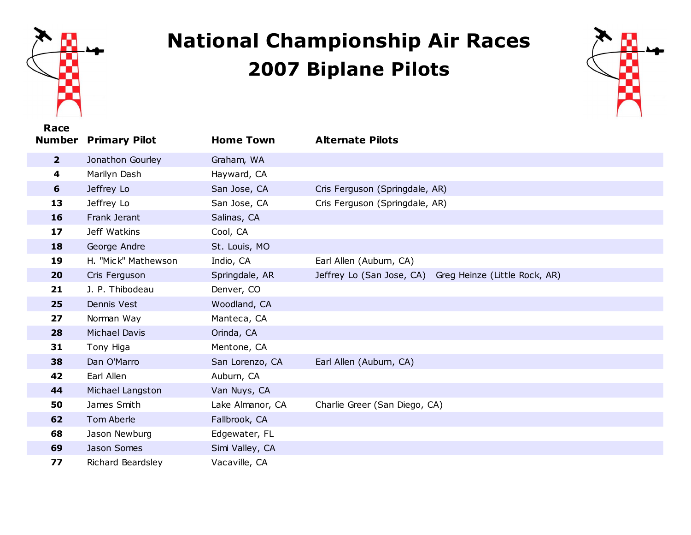

## **National Championship Air Races Biplane Pilots**



| Race<br><b>Number</b> | <b>Primary Pilot</b> | <b>Home Town</b> | <b>Alternate Pilots</b>                                    |
|-----------------------|----------------------|------------------|------------------------------------------------------------|
|                       |                      |                  |                                                            |
| $\overline{2}$        | Jonathon Gourley     | Graham, WA       |                                                            |
| 4                     | Marilyn Dash         | Hayward, CA      |                                                            |
| 6                     | Jeffrey Lo           | San Jose, CA     | Cris Ferguson (Springdale, AR)                             |
| 13                    | Jeffrey Lo           | San Jose, CA     | Cris Ferguson (Springdale, AR)                             |
| 16                    | Frank Jerant         | Salinas, CA      |                                                            |
| 17                    | Jeff Watkins         | Cool, CA         |                                                            |
| 18                    | George Andre         | St. Louis, MO    |                                                            |
| 19                    | H. "Mick" Mathewson  | Indio, CA        | Earl Allen (Auburn, CA)                                    |
| 20                    | Cris Ferguson        | Springdale, AR   | Jeffrey Lo (San Jose, CA)<br>Greg Heinze (Little Rock, AR) |
| 21                    | J. P. Thibodeau      | Denver, CO       |                                                            |
| 25                    | Dennis Vest          | Woodland, CA     |                                                            |
| 27                    | Norman Way           | Manteca, CA      |                                                            |
| 28                    | Michael Davis        | Orinda, CA       |                                                            |
| 31                    | Tony Higa            | Mentone, CA      |                                                            |
| 38                    | Dan O'Marro          | San Lorenzo, CA  | Earl Allen (Auburn, CA)                                    |
| 42                    | Earl Allen           | Auburn, CA       |                                                            |
| 44                    | Michael Langston     | Van Nuys, CA     |                                                            |
| 50                    | James Smith          | Lake Almanor, CA | Charlie Greer (San Diego, CA)                              |
| 62                    | Tom Aberle           | Fallbrook, CA    |                                                            |
| 68                    | Jason Newburg        | Edgewater, FL    |                                                            |
| 69                    | Jason Somes          | Simi Valley, CA  |                                                            |
| 77                    | Richard Beardsley    | Vacaville, CA    |                                                            |